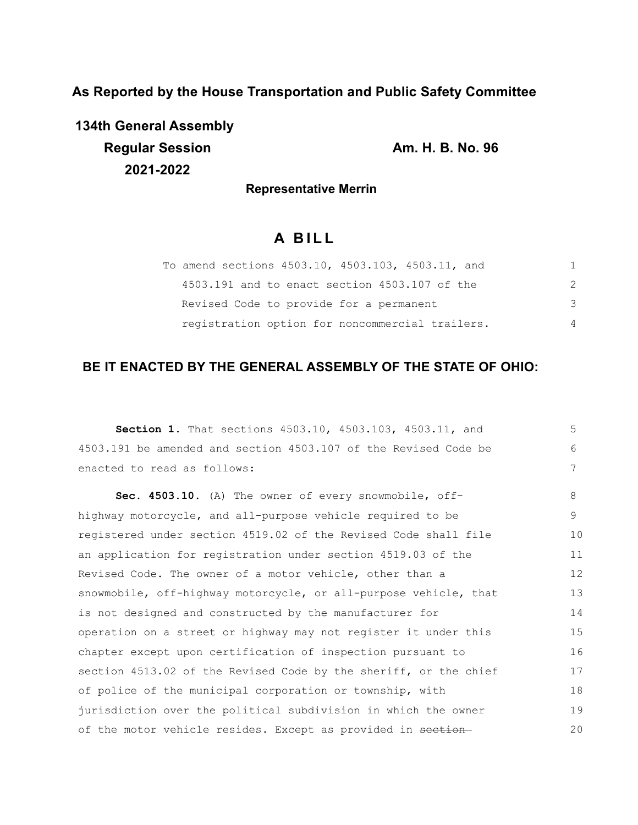**As Reported by the House Transportation and Public Safety Committee**

**134th General Assembly Regular Session Am. H. B. No. 96 2021-2022**

## **Representative Merrin**

# **A B I L L**

| To amend sections 4503.10, 4503.103, 4503.11, and |    |
|---------------------------------------------------|----|
| 4503.191 and to enact section 4503.107 of the     | 2  |
| Revised Code to provide for a permanent           | -3 |
| registration option for noncommercial trailers.   | 4  |

## **BE IT ENACTED BY THE GENERAL ASSEMBLY OF THE STATE OF OHIO:**

| Section 1. That sections 4503.10, 4503.103, 4503.11, and         | 5  |
|------------------------------------------------------------------|----|
| 4503.191 be amended and section 4503.107 of the Revised Code be  | 6  |
| enacted to read as follows:                                      | 7  |
| Sec. 4503.10. (A) The owner of every snowmobile, off-            | 8  |
| highway motorcycle, and all-purpose vehicle required to be       | 9  |
|                                                                  |    |
| registered under section 4519.02 of the Revised Code shall file  | 10 |
| an application for registration under section 4519.03 of the     | 11 |
| Revised Code. The owner of a motor vehicle, other than a         | 12 |
| snowmobile, off-highway motorcycle, or all-purpose vehicle, that | 13 |
| is not designed and constructed by the manufacturer for          | 14 |
| operation on a street or highway may not register it under this  | 15 |
| chapter except upon certification of inspection pursuant to      | 16 |
| section 4513.02 of the Revised Code by the sheriff, or the chief | 17 |
| of police of the municipal corporation or township, with         | 18 |
| jurisdiction over the political subdivision in which the owner   | 19 |
| of the motor vehicle resides. Except as provided in section      | 20 |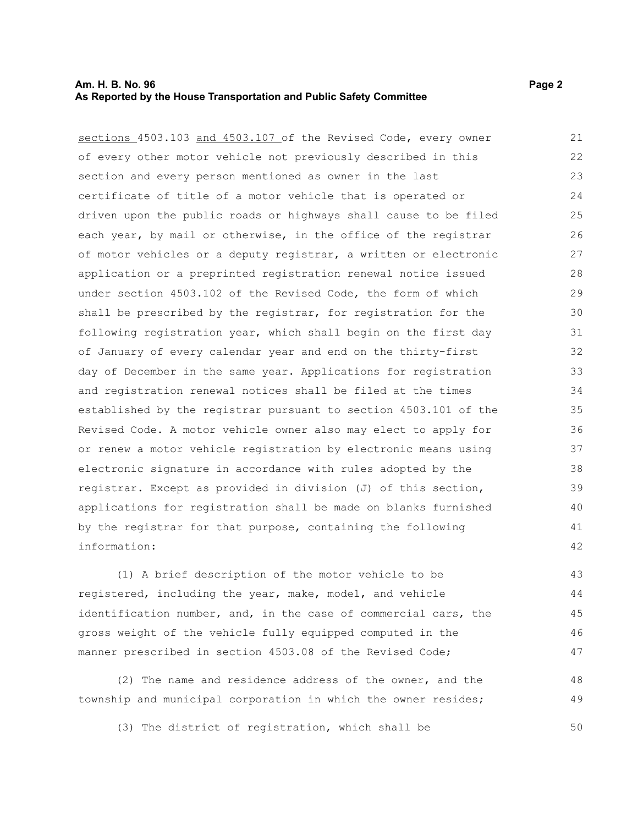#### **Am. H. B. No. 96 Page 2** Page 2 Page 2 Page 2 Page 2 Page 2 Page 2 Page 2 Page 2 Page 2 Page 2 Page 2 Page 2 Page 2 **As Reported by the House Transportation and Public Safety Committee**

sections 4503.103 and 4503.107 of the Revised Code, every owner of every other motor vehicle not previously described in this section and every person mentioned as owner in the last certificate of title of a motor vehicle that is operated or driven upon the public roads or highways shall cause to be filed each year, by mail or otherwise, in the office of the registrar of motor vehicles or a deputy registrar, a written or electronic application or a preprinted registration renewal notice issued under section 4503.102 of the Revised Code, the form of which shall be prescribed by the registrar, for registration for the following registration year, which shall begin on the first day of January of every calendar year and end on the thirty-first day of December in the same year. Applications for registration and registration renewal notices shall be filed at the times established by the registrar pursuant to section 4503.101 of the Revised Code. A motor vehicle owner also may elect to apply for or renew a motor vehicle registration by electronic means using electronic signature in accordance with rules adopted by the registrar. Except as provided in division (J) of this section, applications for registration shall be made on blanks furnished by the registrar for that purpose, containing the following information: 21 22 23 24 25 26 27 28 29 30 31 32 33 34 35 36 37 38 39 40 41 42

(1) A brief description of the motor vehicle to be registered, including the year, make, model, and vehicle identification number, and, in the case of commercial cars, the gross weight of the vehicle fully equipped computed in the manner prescribed in section 4503.08 of the Revised Code;

(2) The name and residence address of the owner, and the township and municipal corporation in which the owner resides; 48 49

(3) The district of registration, which shall be

50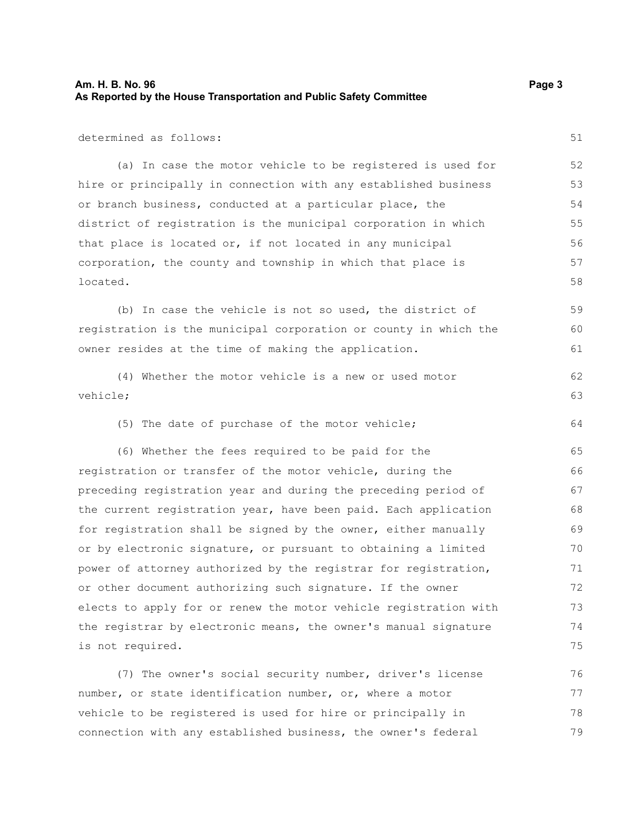### **Am. H. B. No. 96 Page 3 As Reported by the House Transportation and Public Safety Committee**

determined as follows:

(a) In case the motor vehicle to be registered is used for hire or principally in connection with any established business or branch business, conducted at a particular place, the district of registration is the municipal corporation in which that place is located or, if not located in any municipal corporation, the county and township in which that place is located.

(b) In case the vehicle is not so used, the district of registration is the municipal corporation or county in which the owner resides at the time of making the application.

|          | (4) Whether the motor vehicle is a new or used motor |  |  |  |  |  |
|----------|------------------------------------------------------|--|--|--|--|--|
| vehicle: |                                                      |  |  |  |  |  |

(5) The date of purchase of the motor vehicle;

(6) Whether the fees required to be paid for the registration or transfer of the motor vehicle, during the preceding registration year and during the preceding period of the current registration year, have been paid. Each application for registration shall be signed by the owner, either manually or by electronic signature, or pursuant to obtaining a limited power of attorney authorized by the registrar for registration, or other document authorizing such signature. If the owner elects to apply for or renew the motor vehicle registration with the registrar by electronic means, the owner's manual signature is not required.

(7) The owner's social security number, driver's license number, or state identification number, or, where a motor vehicle to be registered is used for hire or principally in connection with any established business, the owner's federal 76 77 78 79

51

59 60 61

64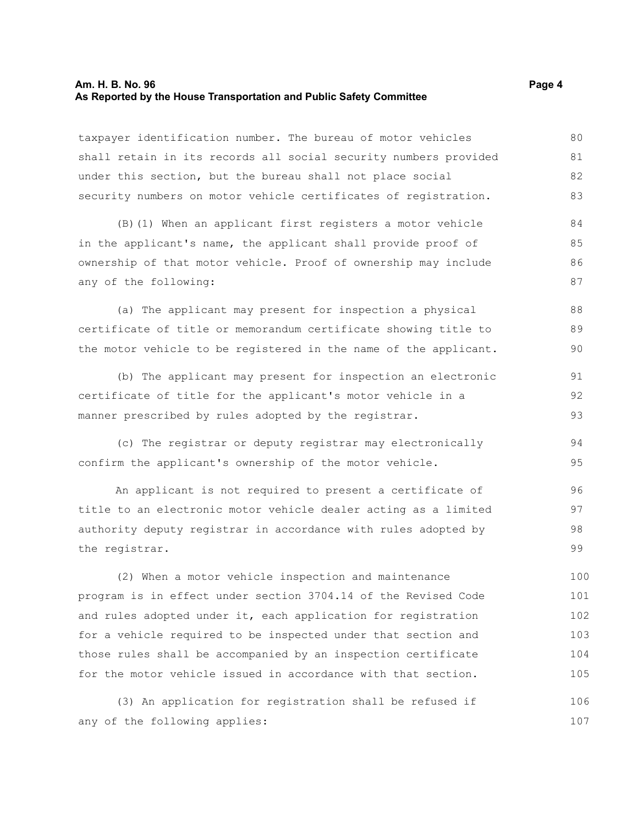#### **Am. H. B. No. 96 Page 4** Page 4 Page 4 Page 4 Page 4 Page 4 Page 4 Page 4 Page 4 Page 4 Page 4 Page 4 Page 4 Page 4 **As Reported by the House Transportation and Public Safety Committee**

taxpayer identification number. The bureau of motor vehicles shall retain in its records all social security numbers provided under this section, but the bureau shall not place social security numbers on motor vehicle certificates of registration. 80 81 82 83

(B)(1) When an applicant first registers a motor vehicle in the applicant's name, the applicant shall provide proof of ownership of that motor vehicle. Proof of ownership may include any of the following: 84 85 86 87

(a) The applicant may present for inspection a physical certificate of title or memorandum certificate showing title to the motor vehicle to be registered in the name of the applicant. 88 89 90

(b) The applicant may present for inspection an electronic certificate of title for the applicant's motor vehicle in a manner prescribed by rules adopted by the registrar. 91 92 93

(c) The registrar or deputy registrar may electronically confirm the applicant's ownership of the motor vehicle.

An applicant is not required to present a certificate of title to an electronic motor vehicle dealer acting as a limited authority deputy registrar in accordance with rules adopted by the registrar. 96 97 98 99

(2) When a motor vehicle inspection and maintenance program is in effect under section 3704.14 of the Revised Code and rules adopted under it, each application for registration for a vehicle required to be inspected under that section and those rules shall be accompanied by an inspection certificate for the motor vehicle issued in accordance with that section. 100 101 102 103 104 105

(3) An application for registration shall be refused if any of the following applies: 106 107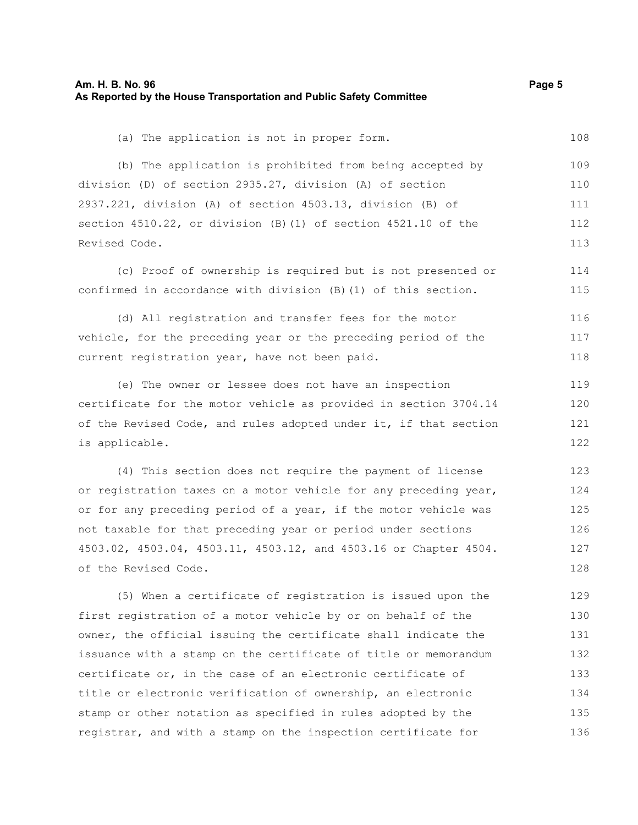108

114 115

#### (a) The application is not in proper form.

(b) The application is prohibited from being accepted by division (D) of section 2935.27, division (A) of section 2937.221, division (A) of section 4503.13, division (B) of section 4510.22, or division (B)(1) of section 4521.10 of the Revised Code. 109 110 111 112 113

(c) Proof of ownership is required but is not presented or confirmed in accordance with division (B)(1) of this section.

(d) All registration and transfer fees for the motor vehicle, for the preceding year or the preceding period of the current registration year, have not been paid. 116 117 118

(e) The owner or lessee does not have an inspection certificate for the motor vehicle as provided in section 3704.14 of the Revised Code, and rules adopted under it, if that section is applicable. 119 120 121 122

(4) This section does not require the payment of license or registration taxes on a motor vehicle for any preceding year, or for any preceding period of a year, if the motor vehicle was not taxable for that preceding year or period under sections 4503.02, 4503.04, 4503.11, 4503.12, and 4503.16 or Chapter 4504. of the Revised Code. 123 124 125 126 127 128

(5) When a certificate of registration is issued upon the first registration of a motor vehicle by or on behalf of the owner, the official issuing the certificate shall indicate the issuance with a stamp on the certificate of title or memorandum certificate or, in the case of an electronic certificate of title or electronic verification of ownership, an electronic stamp or other notation as specified in rules adopted by the registrar, and with a stamp on the inspection certificate for 129 130 131 132 133 134 135 136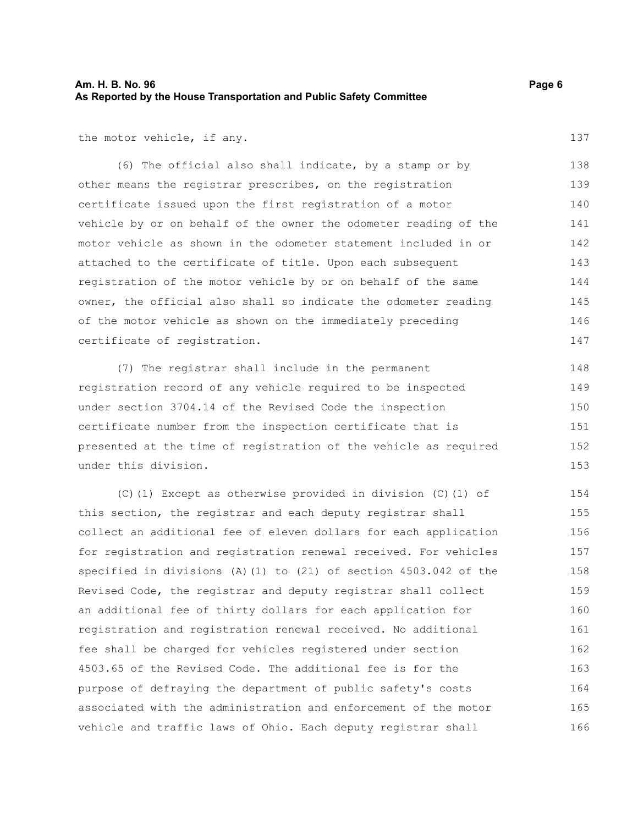### **Am. H. B. No. 96 Page 6** Page 1 2 Page 8 Page 8 Page 8 Page 8 Page 8 Page 8 Page 8 Page 8 Page 8 Page 8 Page 8 Page 8 Page 8 Page 8 Page 8 Page 8 Page 8 Page 8 Page 8 Page 8 Page 8 Page 8 Page 8 Page 8 Page 8 Page 8 Page **As Reported by the House Transportation and Public Safety Committee**

the motor vehicle, if any.

(6) The official also shall indicate, by a stamp or by other means the registrar prescribes, on the registration certificate issued upon the first registration of a motor vehicle by or on behalf of the owner the odometer reading of the motor vehicle as shown in the odometer statement included in or attached to the certificate of title. Upon each subsequent registration of the motor vehicle by or on behalf of the same owner, the official also shall so indicate the odometer reading of the motor vehicle as shown on the immediately preceding certificate of registration. 138 139 140 141 142 143 144 145 146 147

(7) The registrar shall include in the permanent registration record of any vehicle required to be inspected under section 3704.14 of the Revised Code the inspection certificate number from the inspection certificate that is presented at the time of registration of the vehicle as required under this division. 148 149 150 151 152 153

(C)(1) Except as otherwise provided in division (C)(1) of this section, the registrar and each deputy registrar shall collect an additional fee of eleven dollars for each application for registration and registration renewal received. For vehicles specified in divisions (A)(1) to (21) of section 4503.042 of the Revised Code, the registrar and deputy registrar shall collect an additional fee of thirty dollars for each application for registration and registration renewal received. No additional fee shall be charged for vehicles registered under section 4503.65 of the Revised Code. The additional fee is for the purpose of defraying the department of public safety's costs associated with the administration and enforcement of the motor vehicle and traffic laws of Ohio. Each deputy registrar shall 154 155 156 157 158 159 160 161 162 163 164 165 166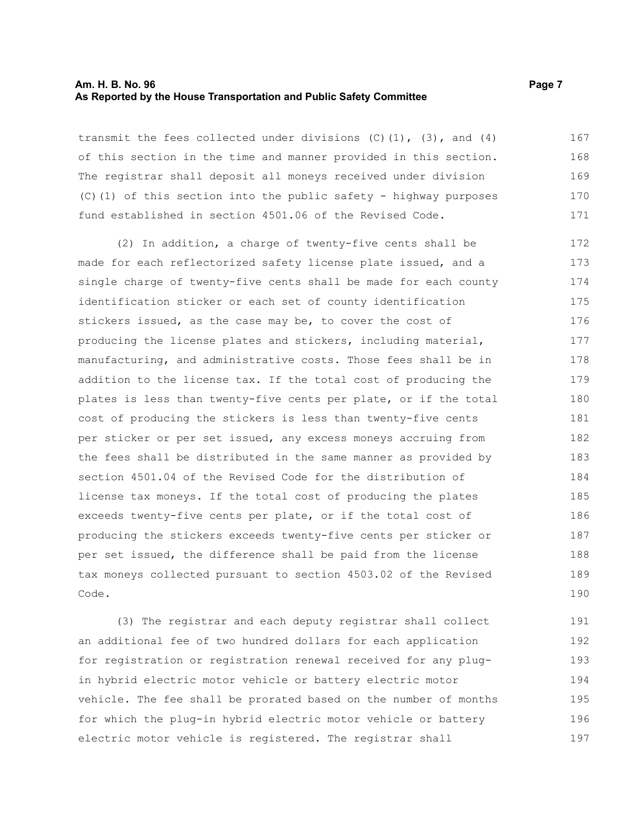#### **Am. H. B. No. 96 Page 7** Page 7 Page 7 Page 7 Page 7 **As Reported by the House Transportation and Public Safety Committee**

transmit the fees collected under divisions  $(C)$   $(1)$ ,  $(3)$ , and  $(4)$ of this section in the time and manner provided in this section. The registrar shall deposit all moneys received under division (C)(1) of this section into the public safety - highway purposes fund established in section 4501.06 of the Revised Code. 167 168 169 170 171

(2) In addition, a charge of twenty-five cents shall be made for each reflectorized safety license plate issued, and a single charge of twenty-five cents shall be made for each county identification sticker or each set of county identification stickers issued, as the case may be, to cover the cost of producing the license plates and stickers, including material, manufacturing, and administrative costs. Those fees shall be in addition to the license tax. If the total cost of producing the plates is less than twenty-five cents per plate, or if the total cost of producing the stickers is less than twenty-five cents per sticker or per set issued, any excess moneys accruing from the fees shall be distributed in the same manner as provided by section 4501.04 of the Revised Code for the distribution of license tax moneys. If the total cost of producing the plates exceeds twenty-five cents per plate, or if the total cost of producing the stickers exceeds twenty-five cents per sticker or per set issued, the difference shall be paid from the license tax moneys collected pursuant to section 4503.02 of the Revised Code. 172 173 174 175 176 177 178 179 180 181 182 183 184 185 186 187 188 189 190

(3) The registrar and each deputy registrar shall collect an additional fee of two hundred dollars for each application for registration or registration renewal received for any plugin hybrid electric motor vehicle or battery electric motor vehicle. The fee shall be prorated based on the number of months for which the plug-in hybrid electric motor vehicle or battery electric motor vehicle is registered. The registrar shall 191 192 193 194 195 196 197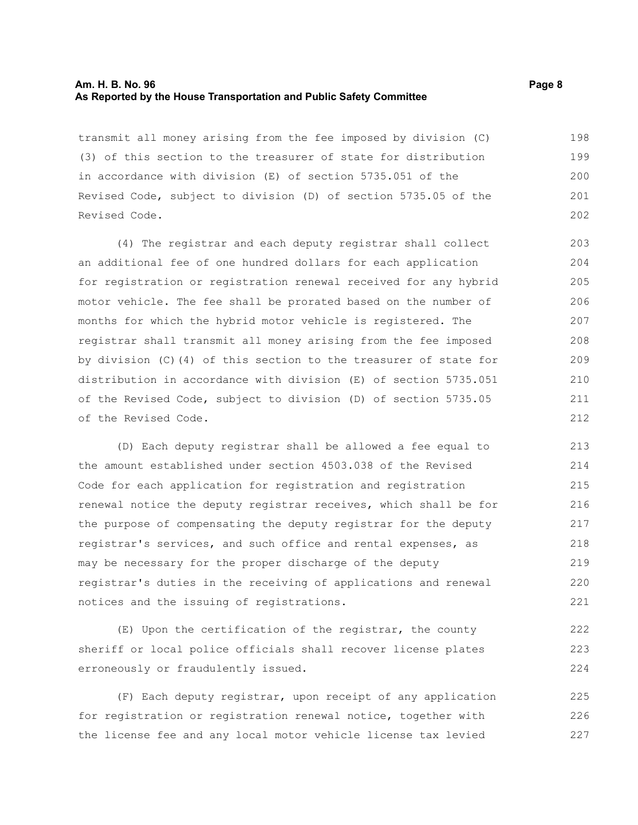#### **Am. H. B. No. 96 Page 8 As Reported by the House Transportation and Public Safety Committee**

transmit all money arising from the fee imposed by division (C) (3) of this section to the treasurer of state for distribution in accordance with division (E) of section 5735.051 of the Revised Code, subject to division (D) of section 5735.05 of the Revised Code. 198 199 200 201 202

(4) The registrar and each deputy registrar shall collect an additional fee of one hundred dollars for each application for registration or registration renewal received for any hybrid motor vehicle. The fee shall be prorated based on the number of months for which the hybrid motor vehicle is registered. The registrar shall transmit all money arising from the fee imposed by division (C)(4) of this section to the treasurer of state for distribution in accordance with division (E) of section 5735.051 of the Revised Code, subject to division (D) of section 5735.05 of the Revised Code. 203 204 205 206 207 208 209 210 211 212

(D) Each deputy registrar shall be allowed a fee equal to the amount established under section 4503.038 of the Revised Code for each application for registration and registration renewal notice the deputy registrar receives, which shall be for the purpose of compensating the deputy registrar for the deputy registrar's services, and such office and rental expenses, as may be necessary for the proper discharge of the deputy registrar's duties in the receiving of applications and renewal notices and the issuing of registrations.

(E) Upon the certification of the registrar, the county sheriff or local police officials shall recover license plates erroneously or fraudulently issued.

(F) Each deputy registrar, upon receipt of any application for registration or registration renewal notice, together with the license fee and any local motor vehicle license tax levied 225 226 227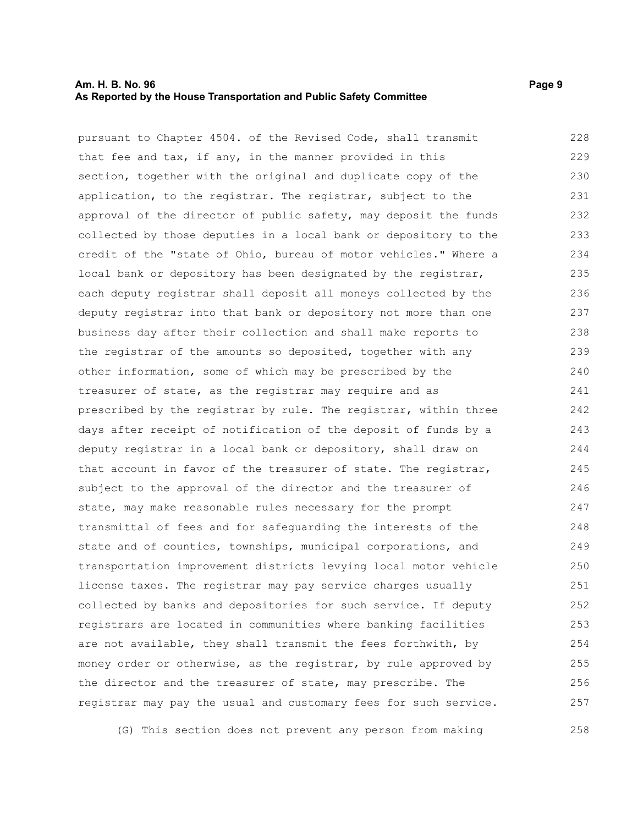#### **Am. H. B. No. 96 Page 9 As Reported by the House Transportation and Public Safety Committee**

pursuant to Chapter 4504. of the Revised Code, shall transmit that fee and tax, if any, in the manner provided in this section, together with the original and duplicate copy of the application, to the registrar. The registrar, subject to the approval of the director of public safety, may deposit the funds collected by those deputies in a local bank or depository to the credit of the "state of Ohio, bureau of motor vehicles." Where a local bank or depository has been designated by the registrar, each deputy registrar shall deposit all moneys collected by the deputy registrar into that bank or depository not more than one business day after their collection and shall make reports to the registrar of the amounts so deposited, together with any other information, some of which may be prescribed by the treasurer of state, as the registrar may require and as prescribed by the registrar by rule. The registrar, within three days after receipt of notification of the deposit of funds by a deputy registrar in a local bank or depository, shall draw on that account in favor of the treasurer of state. The registrar, subject to the approval of the director and the treasurer of state, may make reasonable rules necessary for the prompt transmittal of fees and for safeguarding the interests of the state and of counties, townships, municipal corporations, and transportation improvement districts levying local motor vehicle license taxes. The registrar may pay service charges usually collected by banks and depositories for such service. If deputy registrars are located in communities where banking facilities are not available, they shall transmit the fees forthwith, by money order or otherwise, as the registrar, by rule approved by the director and the treasurer of state, may prescribe. The registrar may pay the usual and customary fees for such service. 228 229 230 231 232 233 234 235 236 237 238 239 240 241 242 243 244 245 246 247 248 249 250 251 252 253 254 255 256 257

(G) This section does not prevent any person from making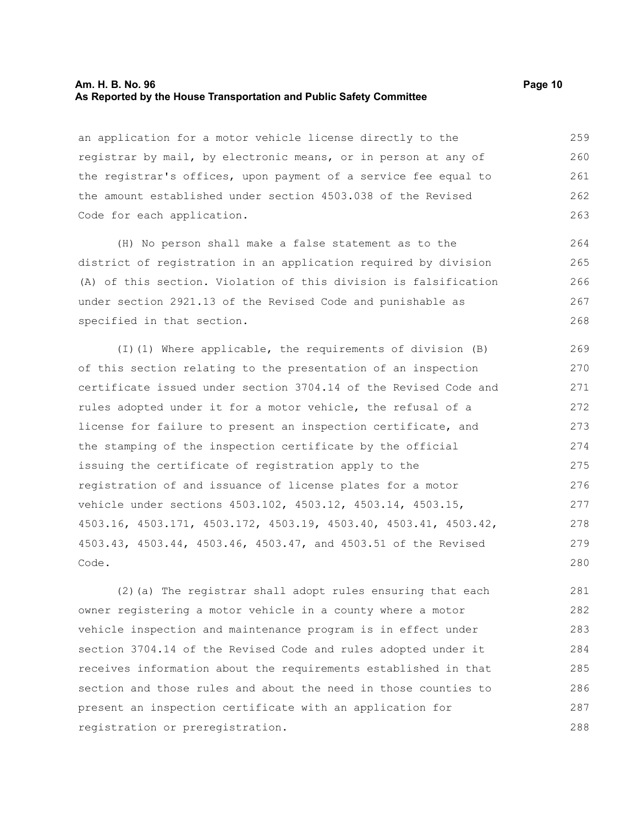#### **Am. H. B. No. 96 Page 10 As Reported by the House Transportation and Public Safety Committee**

an application for a motor vehicle license directly to the registrar by mail, by electronic means, or in person at any of the registrar's offices, upon payment of a service fee equal to the amount established under section 4503.038 of the Revised Code for each application. 259 260 261 262 263

(H) No person shall make a false statement as to the district of registration in an application required by division (A) of this section. Violation of this division is falsification under section 2921.13 of the Revised Code and punishable as specified in that section.

(I)(1) Where applicable, the requirements of division (B) of this section relating to the presentation of an inspection certificate issued under section 3704.14 of the Revised Code and rules adopted under it for a motor vehicle, the refusal of a license for failure to present an inspection certificate, and the stamping of the inspection certificate by the official issuing the certificate of registration apply to the registration of and issuance of license plates for a motor vehicle under sections 4503.102, 4503.12, 4503.14, 4503.15, 4503.16, 4503.171, 4503.172, 4503.19, 4503.40, 4503.41, 4503.42, 4503.43, 4503.44, 4503.46, 4503.47, and 4503.51 of the Revised Code. 269 270 271 272 273 274 275 276 277 278 279 280

(2)(a) The registrar shall adopt rules ensuring that each owner registering a motor vehicle in a county where a motor vehicle inspection and maintenance program is in effect under section 3704.14 of the Revised Code and rules adopted under it receives information about the requirements established in that section and those rules and about the need in those counties to present an inspection certificate with an application for registration or preregistration. 281 282 283 284 285 286 287 288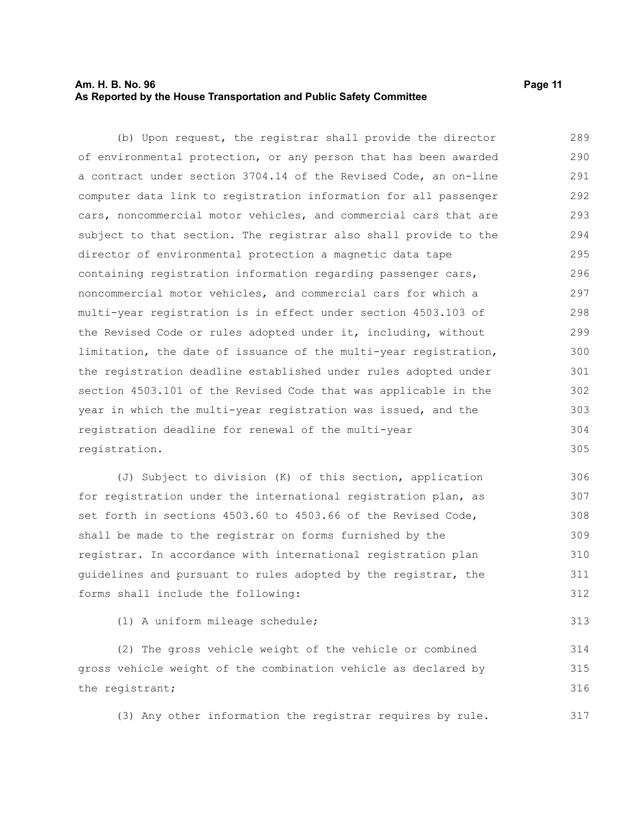#### **Am. H. B. No. 96 Page 11 As Reported by the House Transportation and Public Safety Committee**

(b) Upon request, the registrar shall provide the director of environmental protection, or any person that has been awarded a contract under section 3704.14 of the Revised Code, an on-line computer data link to registration information for all passenger cars, noncommercial motor vehicles, and commercial cars that are subject to that section. The registrar also shall provide to the director of environmental protection a magnetic data tape containing registration information regarding passenger cars, noncommercial motor vehicles, and commercial cars for which a multi-year registration is in effect under section 4503.103 of the Revised Code or rules adopted under it, including, without limitation, the date of issuance of the multi-year registration, the registration deadline established under rules adopted under section 4503.101 of the Revised Code that was applicable in the year in which the multi-year registration was issued, and the registration deadline for renewal of the multi-year registration. 289 290 291 292 293 294 295 296 297 298 299 300 301 302 303 304 305

(J) Subject to division (K) of this section, application for registration under the international registration plan, as set forth in sections 4503.60 to 4503.66 of the Revised Code, shall be made to the registrar on forms furnished by the registrar. In accordance with international registration plan guidelines and pursuant to rules adopted by the registrar, the forms shall include the following: 306 307 308 309 310 311 312

(1) A uniform mileage schedule;

(2) The gross vehicle weight of the vehicle or combined gross vehicle weight of the combination vehicle as declared by the registrant; 314 315 316

(3) Any other information the registrar requires by rule. 317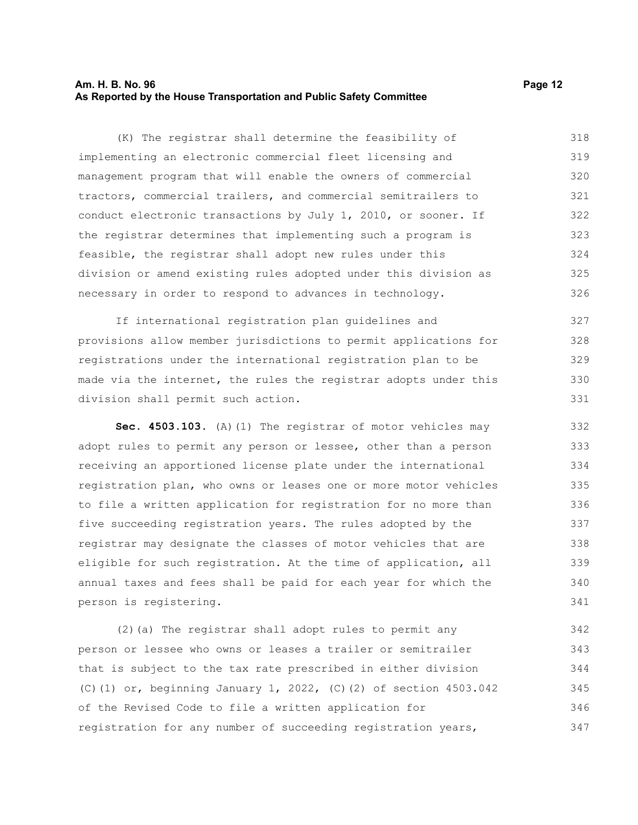#### **Am. H. B. No. 96 Page 12 As Reported by the House Transportation and Public Safety Committee**

(K) The registrar shall determine the feasibility of implementing an electronic commercial fleet licensing and management program that will enable the owners of commercial tractors, commercial trailers, and commercial semitrailers to conduct electronic transactions by July 1, 2010, or sooner. If the registrar determines that implementing such a program is feasible, the registrar shall adopt new rules under this division or amend existing rules adopted under this division as necessary in order to respond to advances in technology. 318 319 320 321 322 323 324 325 326

If international registration plan guidelines and provisions allow member jurisdictions to permit applications for registrations under the international registration plan to be made via the internet, the rules the registrar adopts under this division shall permit such action. 327 328 329 330 331

**Sec. 4503.103.** (A)(1) The registrar of motor vehicles may adopt rules to permit any person or lessee, other than a person receiving an apportioned license plate under the international registration plan, who owns or leases one or more motor vehicles to file a written application for registration for no more than five succeeding registration years. The rules adopted by the registrar may designate the classes of motor vehicles that are eligible for such registration. At the time of application, all annual taxes and fees shall be paid for each year for which the person is registering.

(2)(a) The registrar shall adopt rules to permit any person or lessee who owns or leases a trailer or semitrailer that is subject to the tax rate prescribed in either division (C)(1) or, beginning January 1, 2022, (C)(2) of section  $4503.042$ of the Revised Code to file a written application for registration for any number of succeeding registration years, 342 343 344 345 346 347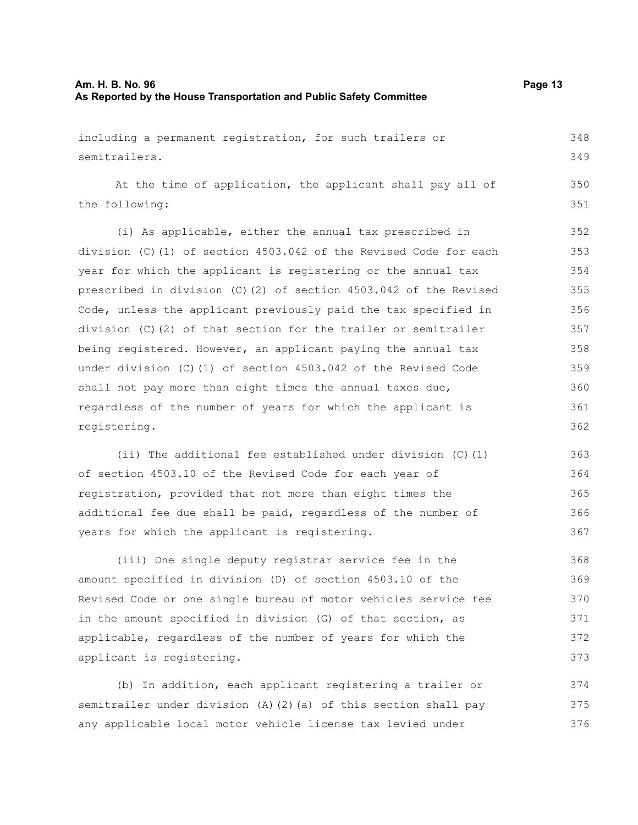#### **Am. H. B. No. 96 Page 13 As Reported by the House Transportation and Public Safety Committee**

including a permanent registration, for such trailers or semitrailers. 348 349

At the time of application, the applicant shall pay all of the following:

(i) As applicable, either the annual tax prescribed in division (C)(1) of section 4503.042 of the Revised Code for each year for which the applicant is registering or the annual tax prescribed in division (C)(2) of section 4503.042 of the Revised Code, unless the applicant previously paid the tax specified in division (C)(2) of that section for the trailer or semitrailer being registered. However, an applicant paying the annual tax under division (C)(1) of section 4503.042 of the Revised Code shall not pay more than eight times the annual taxes due, regardless of the number of years for which the applicant is registering. 352 353 354 355 356 357 358 359 360 361 362

(ii) The additional fee established under division (C)(1) of section 4503.10 of the Revised Code for each year of registration, provided that not more than eight times the additional fee due shall be paid, regardless of the number of years for which the applicant is registering. 363 364 365 366 367

(iii) One single deputy registrar service fee in the amount specified in division (D) of section 4503.10 of the Revised Code or one single bureau of motor vehicles service fee in the amount specified in division (G) of that section, as applicable, regardless of the number of years for which the applicant is registering. 368 369 370 371 372 373

(b) In addition, each applicant registering a trailer or semitrailer under division (A)(2)(a) of this section shall pay any applicable local motor vehicle license tax levied under 374 375 376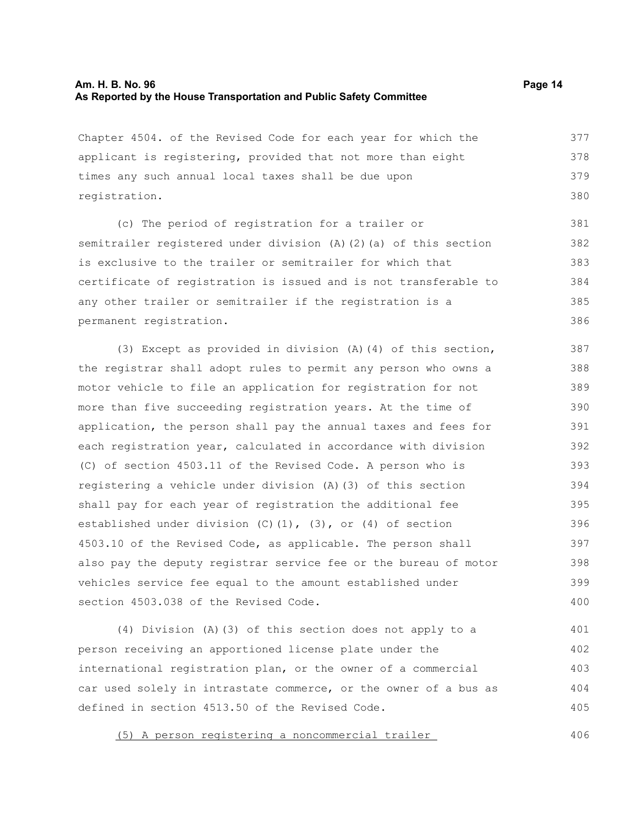#### **Am. H. B. No. 96 Page 14 As Reported by the House Transportation and Public Safety Committee**

Chapter 4504. of the Revised Code for each year for which the applicant is registering, provided that not more than eight times any such annual local taxes shall be due upon registration. 377 378 379 380

(c) The period of registration for a trailer or semitrailer registered under division (A)(2)(a) of this section is exclusive to the trailer or semitrailer for which that certificate of registration is issued and is not transferable to any other trailer or semitrailer if the registration is a permanent registration. 381 382 383 384 385 386

(3) Except as provided in division (A)(4) of this section, the registrar shall adopt rules to permit any person who owns a motor vehicle to file an application for registration for not more than five succeeding registration years. At the time of application, the person shall pay the annual taxes and fees for each registration year, calculated in accordance with division (C) of section 4503.11 of the Revised Code. A person who is registering a vehicle under division (A)(3) of this section shall pay for each year of registration the additional fee established under division (C)(1), (3), or (4) of section 4503.10 of the Revised Code, as applicable. The person shall also pay the deputy registrar service fee or the bureau of motor vehicles service fee equal to the amount established under section 4503.038 of the Revised Code. 387 388 389 390 391 392 393 394 395 396 397 398 399 400

(4) Division (A)(3) of this section does not apply to a person receiving an apportioned license plate under the international registration plan, or the owner of a commercial car used solely in intrastate commerce, or the owner of a bus as defined in section 4513.50 of the Revised Code. 401 402 403 404 405

(5) A person registering a noncommercial trailer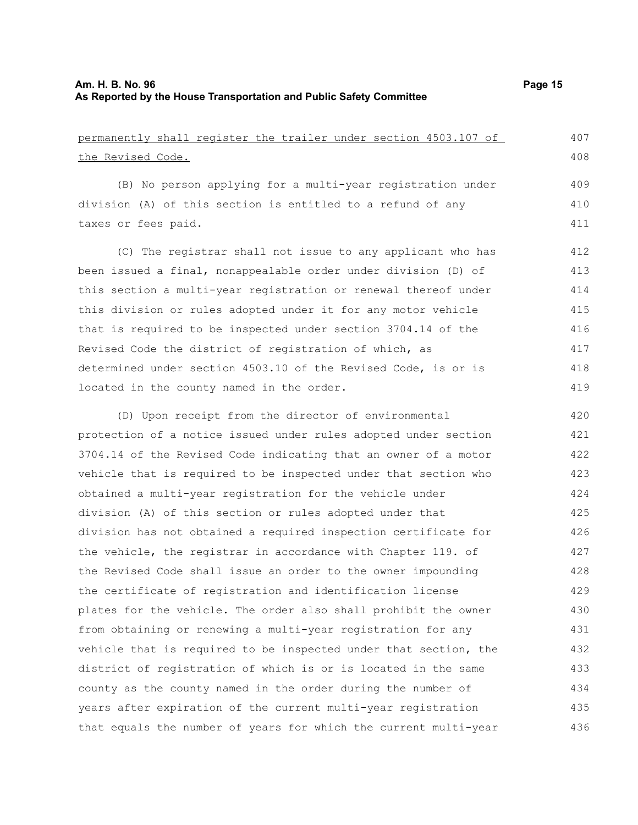| permanently shall register the trailer under section 4503.107 of | 407 |
|------------------------------------------------------------------|-----|
| the Revised Code.                                                | 408 |
| (B) No person applying for a multi-year registration under       | 409 |
| division (A) of this section is entitled to a refund of any      | 410 |
| taxes or fees paid.                                              | 411 |
| (C) The registrar shall not issue to any applicant who has       | 412 |
| been issued a final, nonappealable order under division (D) of   | 413 |
| this section a multi-year registration or renewal thereof under  | 414 |
| this division or rules adopted under it for any motor vehicle    | 415 |
| that is required to be inspected under section 3704.14 of the    | 416 |
| Revised Code the district of registration of which, as           | 417 |
| determined under section 4503.10 of the Revised Code, is or is   | 418 |
| located in the county named in the order.                        | 419 |
| (D) Upon receipt from the director of environmental              | 420 |
| protection of a notice issued under rules adopted under section  | 421 |
| 3704.14 of the Revised Code indicating that an owner of a motor  | 422 |
| vehicle that is required to be inspected under that section who  | 423 |
| obtained a multi-year registration for the vehicle under         | 424 |
| division (A) of this section or rules adopted under that         | 425 |
| division has not obtained a required inspection certificate for  | 426 |
| the vehicle, the registrar in accordance with Chapter 119. of    | 427 |
| the Revised Code shall issue an order to the owner impounding    | 428 |
| the certificate of registration and identification license       | 429 |
| plates for the vehicle. The order also shall prohibit the owner  | 430 |
| from obtaining or renewing a multi-year registration for any     | 431 |
| vehicle that is required to be inspected under that section, the | 432 |
| district of registration of which is or is located in the same   | 433 |
| county as the county named in the order during the number of     | 434 |
| years after expiration of the current multi-year registration    | 435 |
| that equals the number of years for which the current multi-year | 436 |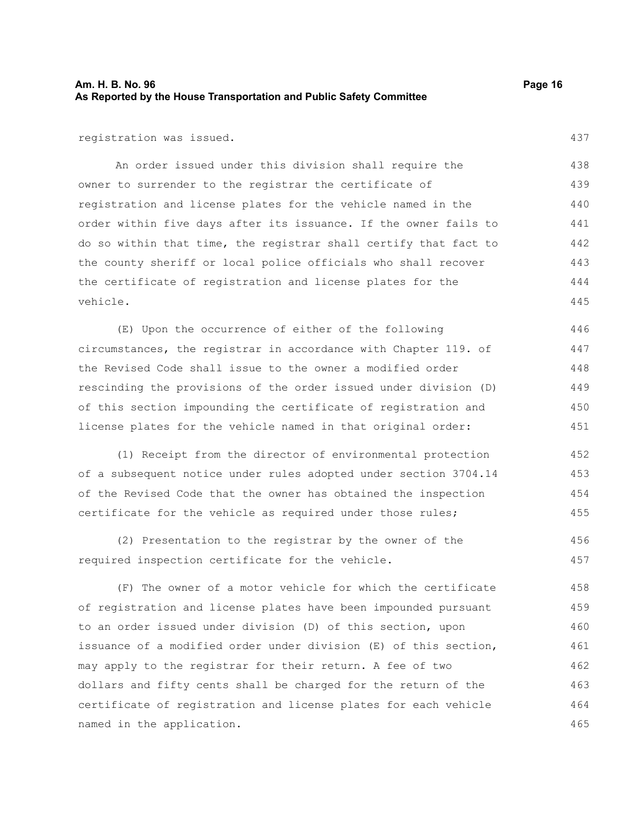### **Am. H. B. No. 96 Page 16 As Reported by the House Transportation and Public Safety Committee**

registration was issued.

An order issued under this division shall require the owner to surrender to the registrar the certificate of registration and license plates for the vehicle named in the order within five days after its issuance. If the owner fails to do so within that time, the registrar shall certify that fact to the county sheriff or local police officials who shall recover the certificate of registration and license plates for the vehicle. 438 439 440 441 442 443 444 445

(E) Upon the occurrence of either of the following circumstances, the registrar in accordance with Chapter 119. of the Revised Code shall issue to the owner a modified order rescinding the provisions of the order issued under division (D) of this section impounding the certificate of registration and license plates for the vehicle named in that original order: 446 447 448 449 450 451

(1) Receipt from the director of environmental protection of a subsequent notice under rules adopted under section 3704.14 of the Revised Code that the owner has obtained the inspection certificate for the vehicle as required under those rules; 452 453 454 455

(2) Presentation to the registrar by the owner of the required inspection certificate for the vehicle. 456 457

(F) The owner of a motor vehicle for which the certificate of registration and license plates have been impounded pursuant to an order issued under division (D) of this section, upon issuance of a modified order under division (E) of this section, may apply to the registrar for their return. A fee of two dollars and fifty cents shall be charged for the return of the certificate of registration and license plates for each vehicle named in the application. 458 459 460 461 462 463 464 465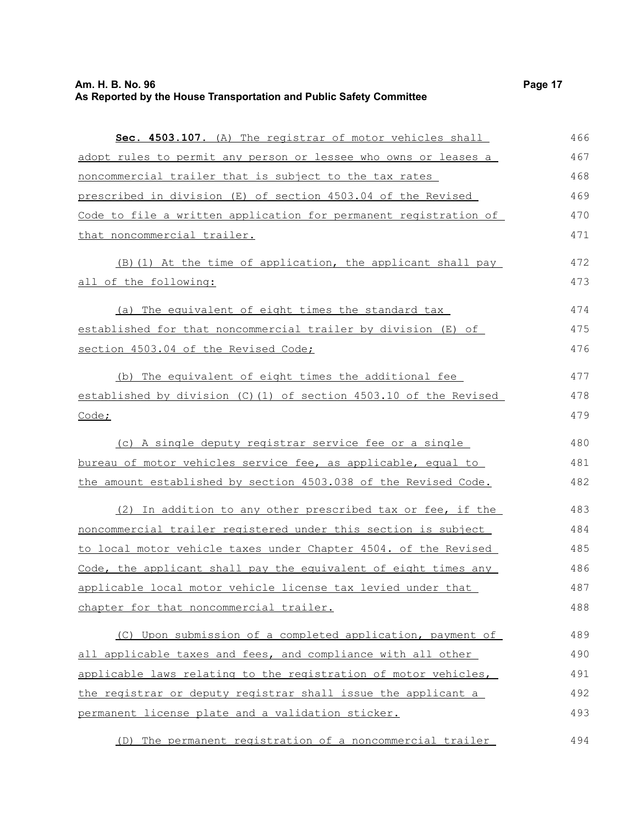| Sec. 4503.107. (A) The registrar of motor vehicles shall          | 466 |
|-------------------------------------------------------------------|-----|
| adopt rules to permit any person or lessee who owns or leases a   | 467 |
| noncommercial trailer that is subject to the tax rates            | 468 |
| prescribed in division (E) of section 4503.04 of the Revised      | 469 |
| Code to file a written application for permanent registration of  | 470 |
| that noncommercial trailer.                                       | 471 |
| (B)(1) At the time of application, the applicant shall pay        | 472 |
| all of the following:                                             | 473 |
| (a) The equivalent of eight times the standard tax                | 474 |
| established for that noncommercial trailer by division (E) of     | 475 |
| section 4503.04 of the Revised Code;                              | 476 |
| (b) The equivalent of eight times the additional fee              | 477 |
| established by division (C) (1) of section 4503.10 of the Revised | 478 |
| Code;                                                             | 479 |
| (c) A single deputy registrar service fee or a single             | 480 |
| bureau of motor vehicles service fee, as applicable, equal to     | 481 |
| the amount established by section 4503.038 of the Revised Code.   | 482 |
| (2) In addition to any other prescribed tax or fee, if the        | 483 |
| noncommercial trailer registered under this section is subject    | 484 |
| to local motor vehicle taxes under Chapter 4504. of the Revised   | 485 |
| Code, the applicant shall pay the equivalent of eight times any   | 486 |
| applicable local motor vehicle license tax levied under that      | 487 |
| chapter for that noncommercial trailer.                           | 488 |
| (C) Upon submission of a completed application, payment of        | 489 |
| all applicable taxes and fees, and compliance with all other      | 490 |
| applicable laws relating to the registration of motor vehicles,   | 491 |
| the registrar or deputy registrar shall issue the applicant a     | 492 |
| permanent license plate and a validation sticker.                 | 493 |
| (D) The permanent registration of a noncommercial trailer         | 494 |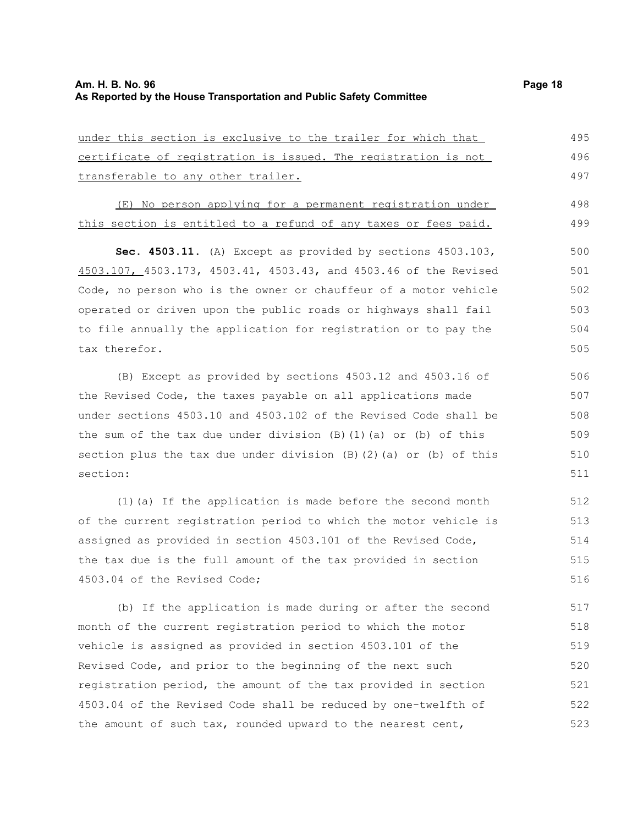| under this section is exclusive to the trailer for which that  | 495 |
|----------------------------------------------------------------|-----|
| certificate of registration is issued. The registration is not | 496 |
| transferable to any other trailer.                             | 497 |

(E) No person applying for a permanent registration under this section is entitled to a refund of any taxes or fees paid. 498 499

**Sec. 4503.11.** (A) Except as provided by sections 4503.103, 4503.107, 4503.173, 4503.41, 4503.43, and 4503.46 of the Revised Code, no person who is the owner or chauffeur of a motor vehicle operated or driven upon the public roads or highways shall fail to file annually the application for registration or to pay the tax therefor. 500 501 502 503 504 505

(B) Except as provided by sections 4503.12 and 4503.16 of the Revised Code, the taxes payable on all applications made under sections 4503.10 and 4503.102 of the Revised Code shall be the sum of the tax due under division  $(B)(1)(a)$  or  $(b)$  of this section plus the tax due under division  $(B)$  (2)(a) or (b) of this section: 506 507 508 509 510 511

(1)(a) If the application is made before the second month of the current registration period to which the motor vehicle is assigned as provided in section 4503.101 of the Revised Code, the tax due is the full amount of the tax provided in section 4503.04 of the Revised Code;

(b) If the application is made during or after the second month of the current registration period to which the motor vehicle is assigned as provided in section 4503.101 of the Revised Code, and prior to the beginning of the next such registration period, the amount of the tax provided in section 4503.04 of the Revised Code shall be reduced by one-twelfth of the amount of such tax, rounded upward to the nearest cent, 517 518 519 520 521 522 523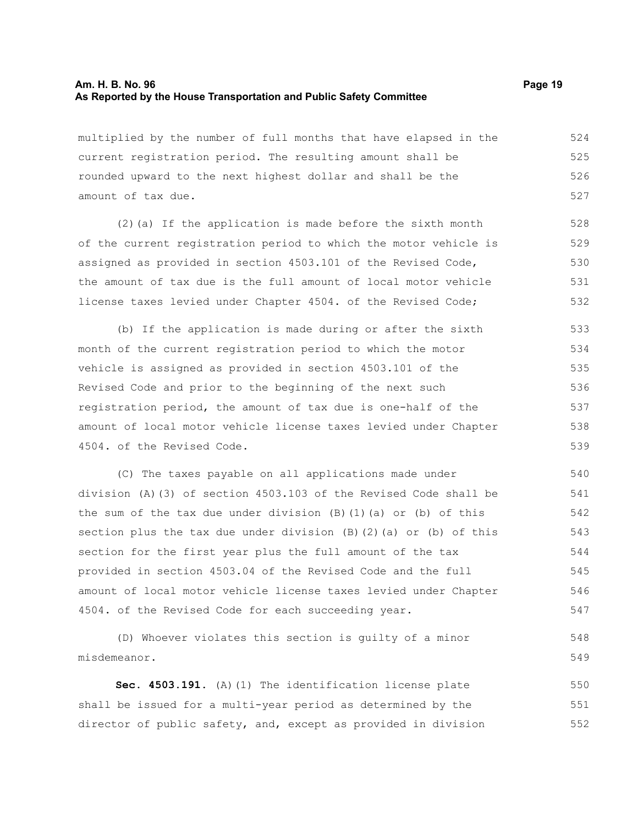#### **Am. H. B. No. 96 Page 19 As Reported by the House Transportation and Public Safety Committee**

multiplied by the number of full months that have elapsed in the current registration period. The resulting amount shall be rounded upward to the next highest dollar and shall be the amount of tax due. 524 525 526 527

(2)(a) If the application is made before the sixth month of the current registration period to which the motor vehicle is assigned as provided in section 4503.101 of the Revised Code, the amount of tax due is the full amount of local motor vehicle license taxes levied under Chapter 4504. of the Revised Code; 528 529 530 531 532

(b) If the application is made during or after the sixth month of the current registration period to which the motor vehicle is assigned as provided in section 4503.101 of the Revised Code and prior to the beginning of the next such registration period, the amount of tax due is one-half of the amount of local motor vehicle license taxes levied under Chapter 4504. of the Revised Code. 533 534 535 536 537 538 539

(C) The taxes payable on all applications made under division (A)(3) of section 4503.103 of the Revised Code shall be the sum of the tax due under division  $(B)$   $(1)$   $(a)$  or  $(b)$  of this section plus the tax due under division (B)(2)(a) or (b) of this section for the first year plus the full amount of the tax provided in section 4503.04 of the Revised Code and the full amount of local motor vehicle license taxes levied under Chapter 4504. of the Revised Code for each succeeding year. 540 541 542 543 544 545 546 547

(D) Whoever violates this section is guilty of a minor misdemeanor.

**Sec. 4503.191.** (A)(1) The identification license plate shall be issued for a multi-year period as determined by the director of public safety, and, except as provided in division 550 551 552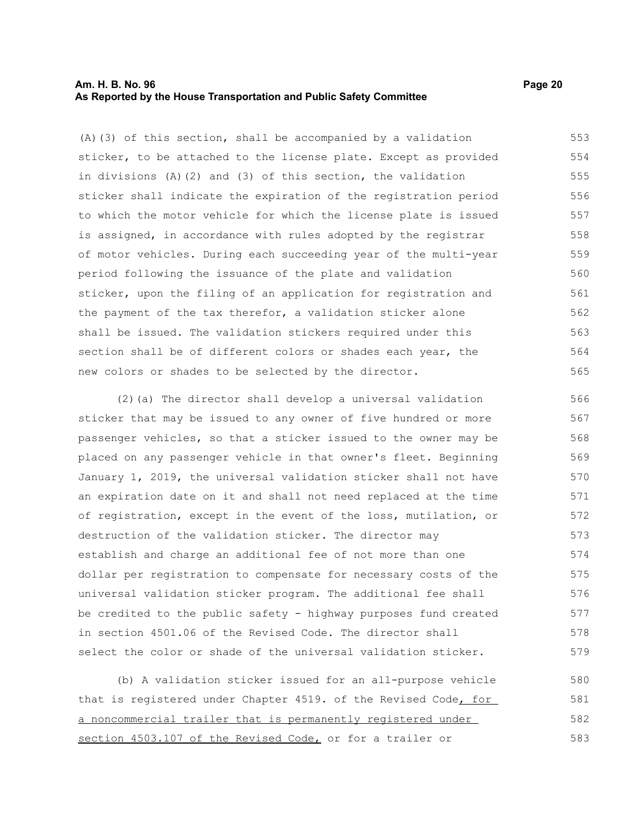#### **Am. H. B. No. 96 Page 20 As Reported by the House Transportation and Public Safety Committee**

(A)(3) of this section, shall be accompanied by a validation sticker, to be attached to the license plate. Except as provided in divisions (A)(2) and (3) of this section, the validation sticker shall indicate the expiration of the registration period to which the motor vehicle for which the license plate is issued is assigned, in accordance with rules adopted by the registrar of motor vehicles. During each succeeding year of the multi-year period following the issuance of the plate and validation sticker, upon the filing of an application for registration and the payment of the tax therefor, a validation sticker alone shall be issued. The validation stickers required under this section shall be of different colors or shades each year, the new colors or shades to be selected by the director. 553 554 555 556 557 558 559 560 561 562 563 564 565

(2)(a) The director shall develop a universal validation sticker that may be issued to any owner of five hundred or more passenger vehicles, so that a sticker issued to the owner may be placed on any passenger vehicle in that owner's fleet. Beginning January 1, 2019, the universal validation sticker shall not have an expiration date on it and shall not need replaced at the time of registration, except in the event of the loss, mutilation, or destruction of the validation sticker. The director may establish and charge an additional fee of not more than one dollar per registration to compensate for necessary costs of the universal validation sticker program. The additional fee shall be credited to the public safety - highway purposes fund created in section 4501.06 of the Revised Code. The director shall select the color or shade of the universal validation sticker. 566 567 568 569 570 571 572 573 574 575 576 577 578 579

(b) A validation sticker issued for an all-purpose vehicle that is registered under Chapter 4519. of the Revised Code, for a noncommercial trailer that is permanently registered under section 4503.107 of the Revised Code, or for a trailer or 580 581 582 583